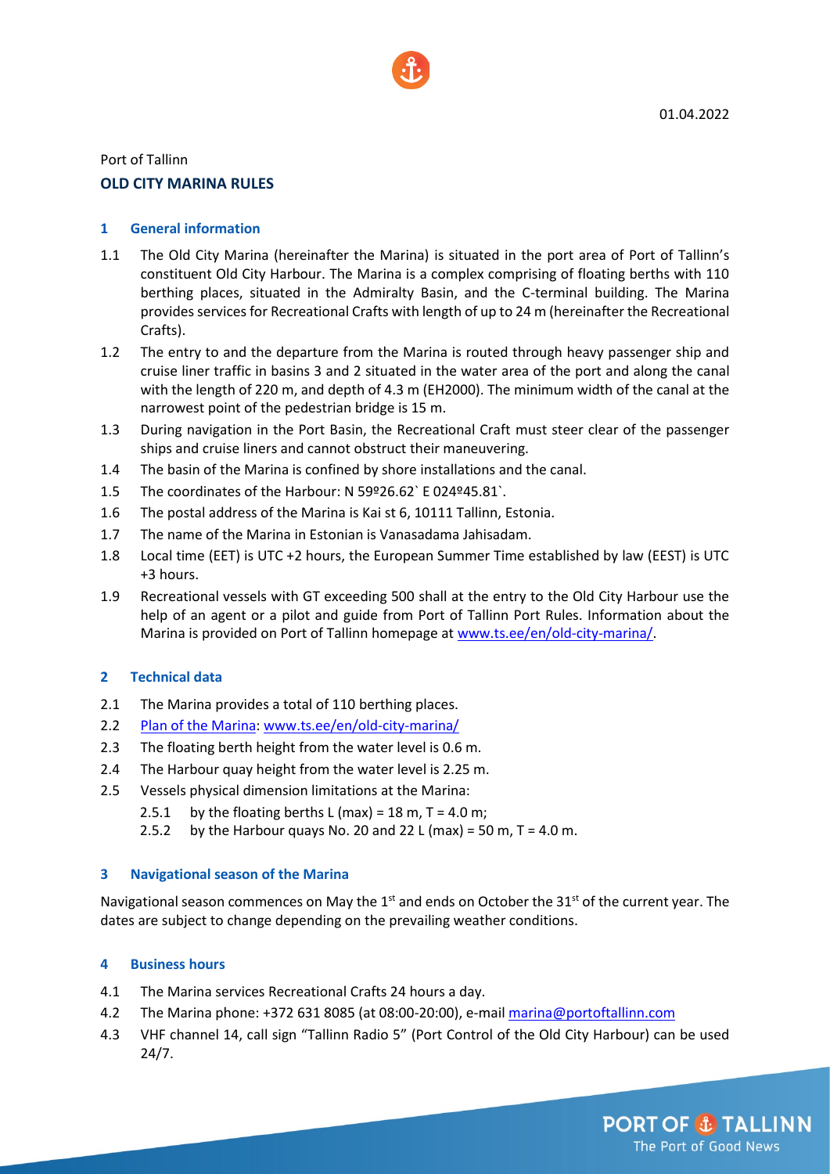**PORT OF & TALLINN** The Port of Good News



Port of Tallinn

# **OLD CITY MARINA RULES**

# **1 General information**

- 1.1 The Old City Marina (hereinafter the Marina) is situated in the port area of Port of Tallinn's constituent Old City Harbour. The Marina is a complex comprising of floating berths with 110 berthing places, situated in the Admiralty Basin, and the C-terminal building. The Marina provides services for Recreational Crafts with length of up to 24 m (hereinafter the Recreational Crafts).
- 1.2 The entry to and the departure from the Marina is routed through heavy passenger ship and cruise liner traffic in basins 3 and 2 situated in the water area of the port and along the canal with the length of 220 m, and depth of 4.3 m (EH2000). The minimum width of the canal at the narrowest point of the pedestrian bridge is 15 m.
- 1.3 During navigation in the Port Basin, the Recreational Craft must steer clear of the passenger ships and cruise liners and cannot obstruct their maneuvering.
- 1.4 The basin of the Marina is confined by shore installations and the canal.
- 1.5 The coordinates of the Harbour: N 59º26.62` E 024º45.81`.
- 1.6 The postal address of the Marina is Kai st 6, 10111 Tallinn, Estonia.
- 1.7 The name of the Marina in Estonian is Vanasadama Jahisadam.
- 1.8 Local time (EET) is UTC +2 hours, the European Summer Time established by law (EEST) is UTC +3 hours.
- 1.9 Recreational vessels with GT exceeding 500 shall at the entry to the Old City Harbour use the help of an agent or a pilot and guide from Port of Tallinn Port Rules. Information about the Marina is provided on Port of Tallinn homepage at [www.ts.ee/en/old-city-marina/.](https://www.ts.ee/en/old-city-marina/)

# **2 Technical data**

- 2.1 The Marina provides a total of 110 berthing places.
- 2.2 [Plan of the Marina:](https://www.ts.ee/wp-content/uploads/2021/04/JAHISADAMA_PLAAN_VEEBI_2021.pdf) [www.ts.ee/en/old-city-marina/](https://www.ts.ee/en/old-city-marina/)
- 2.3 The floating berth height from the water level is 0.6 m.
- 2.4 The Harbour quay height from the water level is 2.25 m.
- 2.5 Vessels physical dimension limitations at the Marina:
	- 2.5.1 by the floating berths L (max) =  $18$  m, T =  $4.0$  m;
	- 2.5.2 by the Harbour quays No. 20 and 22 L (max) = 50 m, T = 4.0 m.

# **3 Navigational season of the Marina**

Navigational season commences on May the  $1<sup>st</sup>$  and ends on October the 31<sup>st</sup> of the current year. The dates are subject to change depending on the prevailing weather conditions.

# **4 Business hours**

- 4.1 The Marina services Recreational Crafts 24 hours a day.
- 4.2 The Marina phone: +372 631 8085 (at 08:00-20:00), e-mail [marina@portoftallinn.com](mailto:marina@portoftallinn.com)
- 4.3 VHF channel 14, call sign "Tallinn Radio 5" (Port Control of the Old City Harbour) can be used 24/7.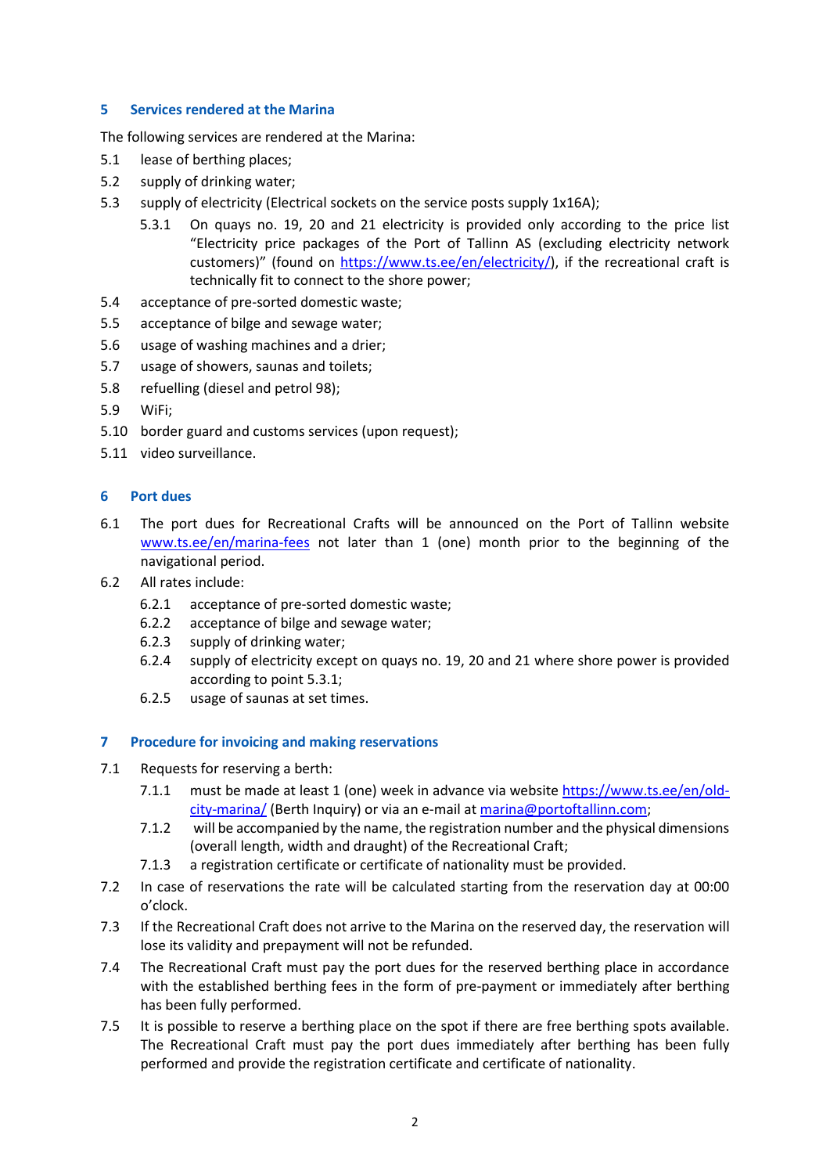# **5 Services rendered at the Marina**

The following services are rendered at the Marina:

- 5.1 lease of berthing places;
- 5.2 supply of drinking water;
- 5.3 supply of electricity (Electrical sockets on the service posts supply 1x16A);
	- 5.3.1 On quays no. 19, 20 and 21 electricity is provided only according to the price list "Electricity price packages of the Port of Tallinn AS (excluding electricity network customers)" (found on [https://www.ts.ee/en/electricity/\)](https://www.ts.ee/en/electricity/), if the recreational craft is technically fit to connect to the shore power;
- 5.4 acceptance of pre-sorted domestic waste;
- 5.5 acceptance of bilge and sewage water;
- 5.6 usage of washing machines and a drier;
- 5.7 usage of showers, saunas and toilets;
- 5.8 refuelling (diesel and petrol 98);
- 5.9 WiFi;
- 5.10 border guard and customs services (upon request);
- 5.11 video surveillance.

# **6 Port dues**

- 6.1 The port dues for Recreational Crafts will be announced on the Port of Tallinn website [www.ts.ee/en/marina-fees](https://www.ts.ee/en/marina-fees) not later than 1 (one) month prior to the beginning of the navigational period.
- 6.2 All rates include:
	- 6.2.1 acceptance of pre-sorted domestic waste;
	- 6.2.2 acceptance of bilge and sewage water;
	- 6.2.3 supply of drinking water;
	- 6.2.4 supply of electricity except on quays no. 19, 20 and 21 where shore power is provided according to point 5.3.1;
	- 6.2.5 usage of saunas at set times.

# **7 Procedure for invoicing and making reservations**

- 7.1 Requests for reserving a berth:
	- 7.1.1 must be made at least 1 (one) week in advance via website [https://www.ts.ee/en/old](https://www.ts.ee/en/old-city-marina/)[city-marina/](https://www.ts.ee/en/old-city-marina/) (Berth Inquiry) or via an e-mail a[t marina@portoftallinn.com;](mailto:jahisadam@ts.ee)
	- 7.1.2 will be accompanied by the name, the registration number and the physical dimensions (overall length, width and draught) of the Recreational Craft;
	- 7.1.3 a registration certificate or certificate of nationality must be provided.
- 7.2 In case of reservations the rate will be calculated starting from the reservation day at 00:00 o'clock.
- 7.3 If the Recreational Craft does not arrive to the Marina on the reserved day, the reservation will lose its validity and prepayment will not be refunded.
- 7.4 The Recreational Craft must pay the port dues for the reserved berthing place in accordance with the established berthing fees in the form of pre-payment or immediately after berthing has been fully performed.
- 7.5 It is possible to reserve a berthing place on the spot if there are free berthing spots available. The Recreational Craft must pay the port dues immediately after berthing has been fully performed and provide the registration certificate and certificate of nationality.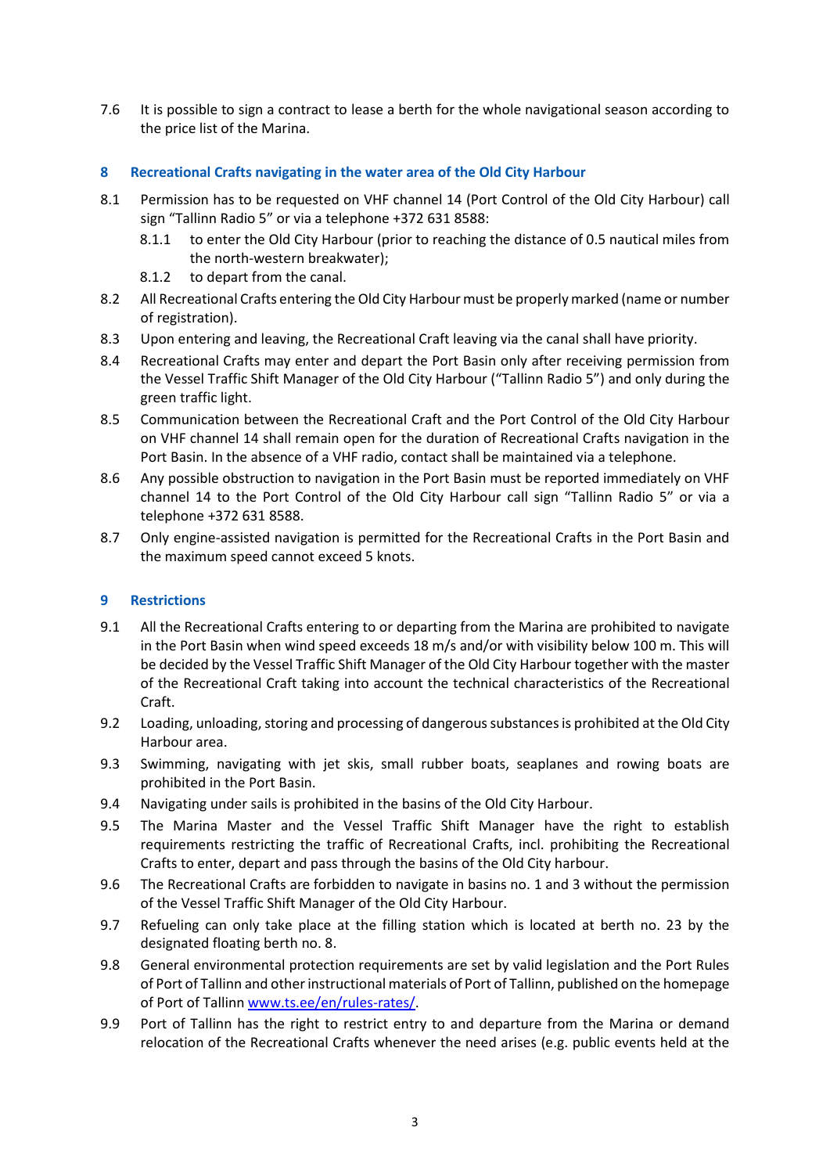7.6 It is possible to sign a contract to lease a berth for the whole navigational season according to the price list of the Marina.

# **8 Recreational Crafts navigating in the water area of the Old City Harbour**

- 8.1 Permission has to be requested on VHF channel 14 (Port Control of the Old City Harbour) call sign "Tallinn Radio 5" or via a telephone +372 631 8588:
	- 8.1.1 to enter the Old City Harbour (prior to reaching the distance of 0.5 nautical miles from the north-western breakwater);
	- 8.1.2 to depart from the canal.
- 8.2 All Recreational Crafts entering the Old City Harbour must be properly marked (name or number of registration).
- 8.3 Upon entering and leaving, the Recreational Craft leaving via the canal shall have priority.
- 8.4 Recreational Crafts may enter and depart the Port Basin only after receiving permission from the Vessel Traffic Shift Manager of the Old City Harbour ("Tallinn Radio 5") and only during the green traffic light.
- 8.5 Communication between the Recreational Craft and the Port Control of the Old City Harbour on VHF channel 14 shall remain open for the duration of Recreational Crafts navigation in the Port Basin. In the absence of a VHF radio, contact shall be maintained via a telephone.
- 8.6 Any possible obstruction to navigation in the Port Basin must be reported immediately on VHF channel 14 to the Port Control of the Old City Harbour call sign "Tallinn Radio 5" or via a telephone +372 631 8588.
- 8.7 Only engine-assisted navigation is permitted for the Recreational Crafts in the Port Basin and the maximum speed cannot exceed 5 knots.

# **9 Restrictions**

- 9.1 All the Recreational Crafts entering to or departing from the Marina are prohibited to navigate in the Port Basin when wind speed exceeds 18 m/s and/or with visibility below 100 m. This will be decided by the Vessel Traffic Shift Manager of the Old City Harbour together with the master of the Recreational Craft taking into account the technical characteristics of the Recreational Craft.
- 9.2 Loading, unloading, storing and processing of dangerous substances is prohibited at the Old City Harbour area.
- 9.3 Swimming, navigating with jet skis, small rubber boats, seaplanes and rowing boats are prohibited in the Port Basin.
- 9.4 Navigating under sails is prohibited in the basins of the Old City Harbour.
- 9.5 The Marina Master and the Vessel Traffic Shift Manager have the right to establish requirements restricting the traffic of Recreational Crafts, incl. prohibiting the Recreational Crafts to enter, depart and pass through the basins of the Old City harbour.
- 9.6 The Recreational Crafts are forbidden to navigate in basins no. 1 and 3 without the permission of the Vessel Traffic Shift Manager of the Old City Harbour.
- 9.7 Refueling can only take place at the filling station which is located at berth no. 23 by the designated floating berth no. 8.
- 9.8 General environmental protection requirements are set by valid legislation and the Port Rules of Port of Tallinn and other instructional materials of Port of Tallinn, published on the homepage of Port of Tallinn [www.ts.ee/en/rules-rates/.](http://www.ts.ee/en/rules-rates/)
- 9.9 Port of Tallinn has the right to restrict entry to and departure from the Marina or demand relocation of the Recreational Crafts whenever the need arises (e.g. public events held at the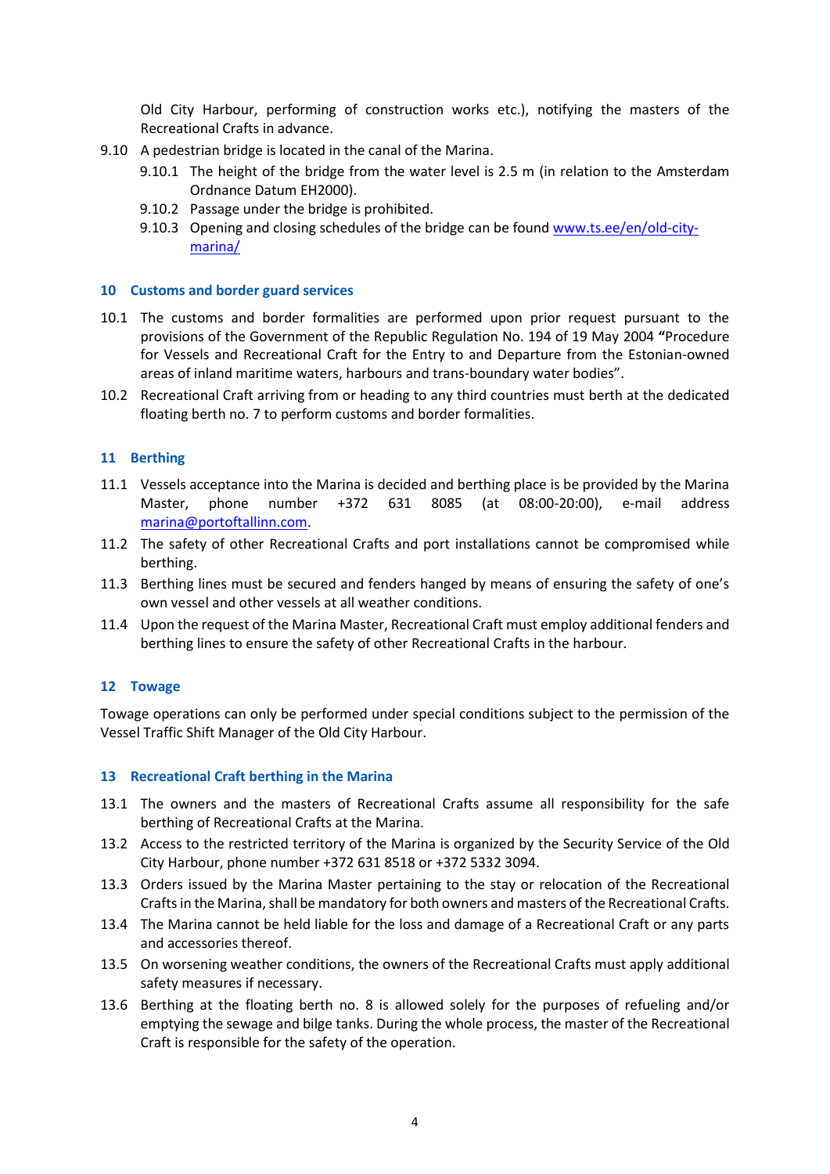Old City Harbour, performing of construction works etc.), notifying the masters of the Recreational Crafts in advance.

- 9.10 A pedestrian bridge is located in the canal of the Marina.
	- 9.10.1 The height of the bridge from the water level is 2.5 m (in relation to the Amsterdam Ordnance Datum EH2000).
	- 9.10.2 Passage under the bridge is prohibited.
	- 9.10.3 Opening and closing schedules of the bridge can be found [www.ts.ee/en/old-city](https://www.ts.ee/en/old-city-marina/)[marina/](https://www.ts.ee/en/old-city-marina/)

#### **10 Customs and border guard services**

- 10.1 The customs and border formalities are performed upon prior request pursuant to the provisions of the Government of the Republic Regulation No. 194 of 19 May 2004 **"**Procedure for Vessels and Recreational Craft for the Entry to and Departure from the Estonian-owned areas of inland maritime waters, harbours and trans-boundary water bodies".
- 10.2 Recreational Craft arriving from or heading to any third countries must berth at the dedicated floating berth no. 7 to perform customs and border formalities.

#### **11 Berthing**

- 11.1 Vessels acceptance into the Marina is decided and berthing place is be provided by the Marina Master, phone number +372 631 8085 (at 08:00-20:00), e-mail address [marina@portoftallinn.com.](mailto:jahisadam@ts.ee)
- 11.2 The safety of other Recreational Crafts and port installations cannot be compromised while berthing.
- 11.3 Berthing lines must be secured and fenders hanged by means of ensuring the safety of one's own vessel and other vessels at all weather conditions.
- 11.4 Upon the request of the Marina Master, Recreational Craft must employ additional fenders and berthing lines to ensure the safety of other Recreational Crafts in the harbour.

#### **12 Towage**

Towage operations can only be performed under special conditions subject to the permission of the Vessel Traffic Shift Manager of the Old City Harbour.

#### **13 Recreational Craft berthing in the Marina**

- 13.1 The owners and the masters of Recreational Crafts assume all responsibility for the safe berthing of Recreational Crafts at the Marina.
- 13.2 Access to the restricted territory of the Marina is organized by the Security Service of the Old City Harbour, phone number +372 631 8518 or +372 5332 3094.
- 13.3 Orders issued by the Marina Master pertaining to the stay or relocation of the Recreational Crafts in the Marina, shall be mandatory for both owners and masters of the Recreational Crafts.
- 13.4 The Marina cannot be held liable for the loss and damage of a Recreational Craft or any parts and accessories thereof.
- 13.5 On worsening weather conditions, the owners of the Recreational Crafts must apply additional safety measures if necessary.
- 13.6 Berthing at the floating berth no. 8 is allowed solely for the purposes of refueling and/or emptying the sewage and bilge tanks. During the whole process, the master of the Recreational Craft is responsible for the safety of the operation.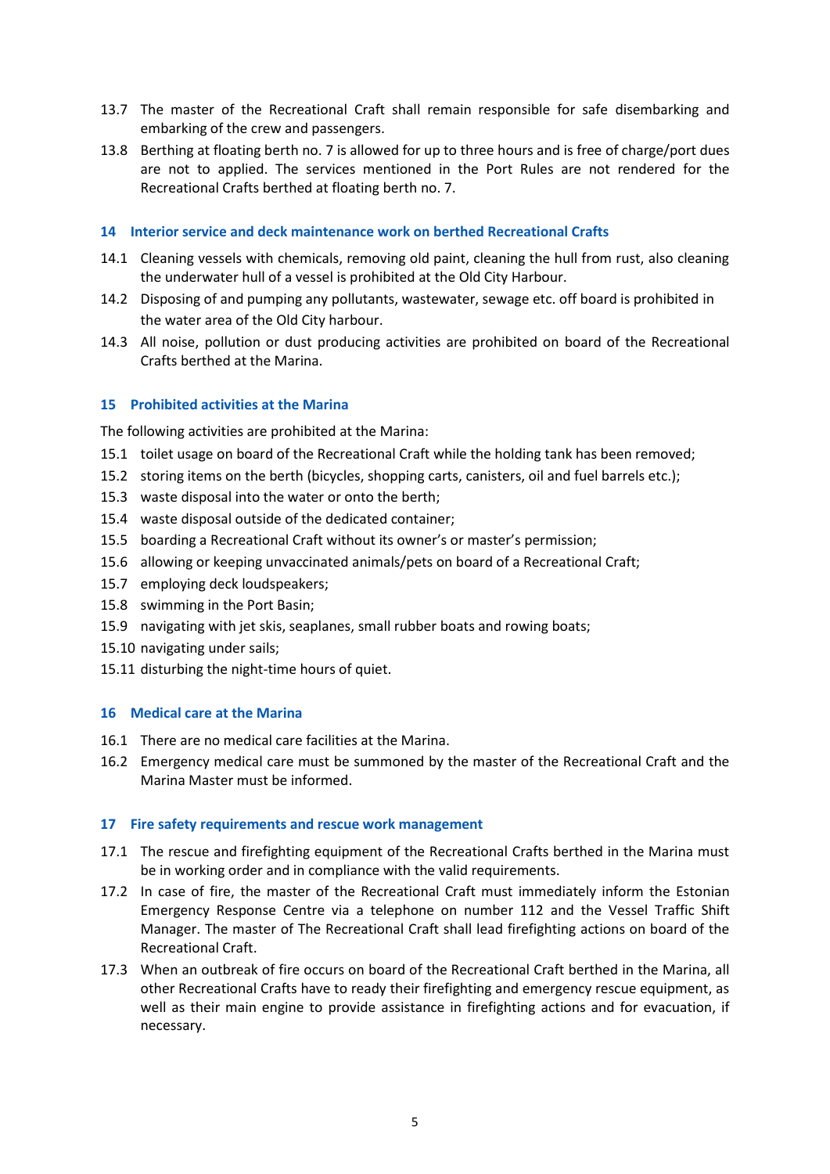- 13.7 The master of the Recreational Craft shall remain responsible for safe disembarking and embarking of the crew and passengers.
- 13.8 Berthing at floating berth no. 7 is allowed for up to three hours and is free of charge/port dues are not to applied. The services mentioned in the Port Rules are not rendered for the Recreational Crafts berthed at floating berth no. 7.

# **14 Interior service and deck maintenance work on berthed Recreational Crafts**

- 14.1 Cleaning vessels with chemicals, removing old paint, cleaning the hull from rust, also cleaning the underwater hull of a vessel is prohibited at the Old City Harbour.
- 14.2 Disposing of and pumping any pollutants, wastewater, sewage etc. off board is prohibited in the water area of the Old City harbour.
- 14.3 All noise, pollution or dust producing activities are prohibited on board of the Recreational Crafts berthed at the Marina.

# **15 Prohibited activities at the Marina**

The following activities are prohibited at the Marina:

- 15.1 toilet usage on board of the Recreational Craft while the holding tank has been removed;
- 15.2 storing items on the berth (bicycles, shopping carts, canisters, oil and fuel barrels etc.);
- 15.3 waste disposal into the water or onto the berth;
- 15.4 waste disposal outside of the dedicated container;
- 15.5 boarding a Recreational Craft without its owner's or master's permission;
- 15.6 allowing or keeping unvaccinated animals/pets on board of a Recreational Craft;
- 15.7 employing deck loudspeakers;
- 15.8 swimming in the Port Basin;
- 15.9 navigating with jet skis, seaplanes, small rubber boats and rowing boats;
- 15.10 navigating under sails;
- 15.11 disturbing the night-time hours of quiet.

# **16 Medical care at the Marina**

- 16.1 There are no medical care facilities at the Marina.
- 16.2 Emergency medical care must be summoned by the master of the Recreational Craft and the Marina Master must be informed.

# **17 Fire safety requirements and rescue work management**

- 17.1 The rescue and firefighting equipment of the Recreational Crafts berthed in the Marina must be in working order and in compliance with the valid requirements.
- 17.2 In case of fire, the master of the Recreational Craft must immediately inform the Estonian Emergency Response Centre via a telephone on number 112 and the Vessel Traffic Shift Manager. The master of The Recreational Craft shall lead firefighting actions on board of the Recreational Craft.
- 17.3 When an outbreak of fire occurs on board of the Recreational Craft berthed in the Marina, all other Recreational Crafts have to ready their firefighting and emergency rescue equipment, as well as their main engine to provide assistance in firefighting actions and for evacuation, if necessary.